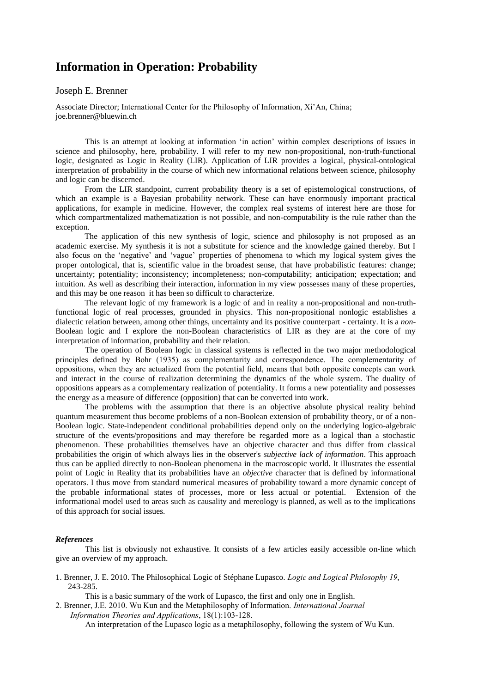## **Information in Operation: Probability**

## Joseph E. Brenner

Associate Director; International Center for the Philosophy of Information, Xi'An, China; joe.brenner@bluewin.ch

This is an attempt at looking at information 'in action' within complex descriptions of issues in science and philosophy, here, probability. I will refer to my new non-propositional, non-truth-functional logic, designated as Logic in Reality (LIR). Application of LIR provides a logical, physical-ontological interpretation of probability in the course of which new informational relations between science, philosophy and logic can be discerned.

From the LIR standpoint, current probability theory is a set of epistemological constructions, of which an example is a Bayesian probability network. These can have enormously important practical applications, for example in medicine. However, the complex real systems of interest here are those for which compartmentalized mathematization is not possible, and non-computability is the rule rather than the exception.

The application of this new synthesis of logic, science and philosophy is not proposed as an academic exercise. My synthesis it is not a substitute for science and the knowledge gained thereby. But I also focus on the 'negative' and 'vague' properties of phenomena to which my logical system gives the proper ontological, that is, scientific value in the broadest sense, that have probabilistic features: change; uncertainty; potentiality; inconsistency; incompleteness; non-computability; anticipation; expectation; and intuition. As well as describing their interaction, information in my view possesses many of these properties, and this may be one reason it has been so difficult to characterize.

The relevant logic of my framework is a logic of and in reality a non-propositional and non-truthfunctional logic of real processes, grounded in physics. This non-propositional nonlogic establishes a dialectic relation between, among other things, uncertainty and its positive counterpart - certainty. It is a *non-*Boolean logic and I explore the non-Boolean characteristics of LIR as they are at the core of my interpretation of information, probability and their relation.

The operation of Boolean logic in classical systems is reflected in the two major methodological principles defined by Bohr (1935) as complementarity and correspondence. The complementarity of oppositions, when they are actualized from the potential field, means that both opposite concepts can work and interact in the course of realization determining the dynamics of the whole system. The duality of oppositions appears as a complementary realization of potentiality. It forms a new potentiality and possesses the energy as a measure of difference (opposition) that can be converted into work.

The problems with the assumption that there is an objective absolute physical reality behind quantum measurement thus become problems of a non-Boolean extension of probability theory, or of a non-Boolean logic. State-independent conditional probabilities depend only on the underlying logico-algebraic structure of the events/propositions and may therefore be regarded more as a logical than a stochastic phenomenon. These probabilities themselves have an objective character and thus differ from classical probabilities the origin of which always lies in the observer's *subjective lack of information*. This approach thus can be applied directly to non-Boolean phenomena in the macroscopic world. It illustrates the essential point of Logic in Reality that its probabilities have an *objective* character that is defined by informational operators. I thus move from standard numerical measures of probability toward a more dynamic concept of the probable informational states of processes, more or less actual or potential. Extension of the informational model used to areas such as causality and mereology is planned, as well as to the implications of this approach for social issues.

## *References*

This list is obviously not exhaustive. It consists of a few articles easily accessible on-line which give an overview of my approach.

1. Brenner, J. E. 2010. The Philosophical Logic of Stéphane Lupasco. *Logic and Logical Philosophy 19*, 243-285.

This is a basic summary of the work of Lupasco, the first and only one in English.

2. Brenner, J.E. 2010. Wu Kun and the Metaphilosophy of Information. *International Journal Information Theories and Applications*, 18(1):103-128.

An interpretation of the Lupasco logic as a metaphilosophy, following the system of Wu Kun.